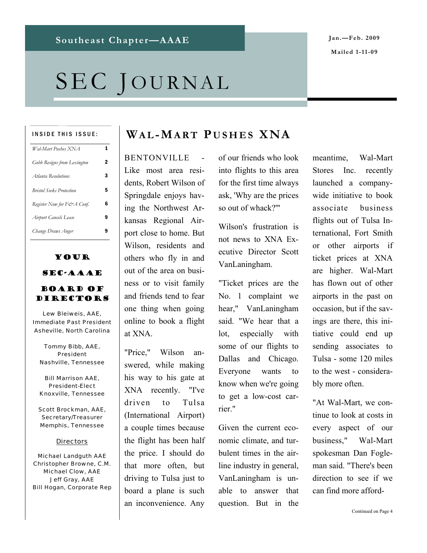# SEC JOURNAL

#### INSIDE THIS ISSUE:

| Wal-Mart Pushes XNA             | 1 |
|---------------------------------|---|
| Gobb Resigns from Lexington     | 2 |
| Atlanta Resolutions             | 3 |
| <b>Bristol Seeks Protection</b> | 5 |
| Register Now for F&A Conf.      | 6 |
| Airport Cancels Lease           | 9 |
| Change Draws Anger              |   |

### Your SEC-AAAE

#### Board of **DIRECTORS**

*Lew Bleiweis, AAE, Immediate Past President Asheville, North Carolina* 

*Tommy Bibb, AAE, President Nashville, Tennessee* 

*Bill Marrison AAE, President-Elect Knoxville, Tennessee* 

*Scott Brockman, AAE, Secretary/Treasurer Memphis, Tennessee* 

#### *Directors*

*Michael Landguth AAE Christopher Browne, C.M. Michael Clow, AAE Jeff Gray, AAE Bill Hogan, Corporate Rep* 

#### **WA L-MART P USHES XNA**

**BENTONVILLE** Like most area residents, Robert Wilson of Springdale enjoys having the Northwest Arkansas Regional Airport close to home. But Wilson, residents and others who fly in and out of the area on business or to visit family and friends tend to fear one thing when going online to book a flight at XNA.

"Price," Wilson answered, while making his way to his gate at XNA recently. "I've driven to Tulsa (International Airport) a couple times because the flight has been half the price. I should do that more often, but driving to Tulsa just to board a plane is such an inconvenience. Any

of our friends who look into flights to this area for the first time always ask, 'Why are the prices so out of whack?'"

Wilson's frustration is not news to XNA Executive Director Scott VanLaningham.

"Ticket prices are the No. 1 complaint we hear," VanLaningham said. "We hear that a lot, especially with some of our flights to Dallas and Chicago. Everyone wants to know when we're going to get a low-cost carrier."

Given the current economic climate, and turbulent times in the airline industry in general, VanLaningham is unable to answer that question. But in the

meantime, Wal-Mart Stores Inc. recently launched a companywide initiative to book associate business flights out of Tulsa International, Fort Smith or other airports if ticket prices at XNA are higher. Wal-Mart has flown out of other airports in the past on occasion, but if the savings are there, this initiative could end up sending associates to Tulsa - some 120 miles to the west - considerably more often.

"At Wal-Mart, we continue to look at costs in every aspect of our business," Wal-Mart spokesman Dan Fogleman said. "There's been direction to see if we can find more afford-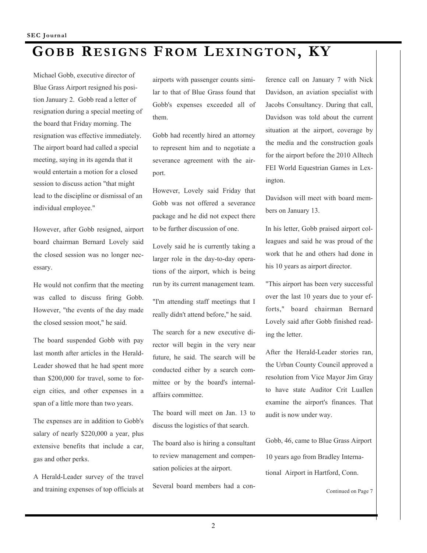# **GOBB RESIGNS FROM LEXINGTON, KY**

Michael Gobb, executive director of Blue Grass Airport resigned his position January 2. Gobb read a letter of resignation during a special meeting of the board that Friday morning. The resignation was effective immediately. The airport board had called a special meeting, saying in its agenda that it would entertain a motion for a closed session to discuss action "that might lead to the discipline or dismissal of an individual employee."

However, after Gobb resigned, airport board chairman Bernard Lovely said the closed session was no longer necessary.

He would not confirm that the meeting was called to discuss firing Gobb. However, "the events of the day made the closed session moot," he said.

The board suspended Gobb with pay last month after articles in the Herald-Leader showed that he had spent more than \$200,000 for travel, some to foreign cities, and other expenses in a span of a little more than two years.

The expenses are in addition to Gobb's salary of nearly \$220,000 a year, plus extensive benefits that include a car, gas and other perks.

A Herald-Leader survey of the travel and training expenses of top officials at airports with passenger counts similar to that of Blue Grass found that Gobb's expenses exceeded all of them.

Gobb had recently hired an attorney to represent him and to negotiate a severance agreement with the airport.

However, Lovely said Friday that Gobb was not offered a severance package and he did not expect there to be further discussion of one.

Lovely said he is currently taking a larger role in the day-to-day operations of the airport, which is being run by its current management team.

"I'm attending staff meetings that I really didn't attend before," he said.

The search for a new executive director will begin in the very near future, he said. The search will be conducted either by a search committee or by the board's internalaffairs committee.

The board will meet on Jan. 13 to discuss the logistics of that search.

The board also is hiring a consultant to review management and compensation policies at the airport.

Several board members had a con-

ference call on January 7 with Nick Davidson, an aviation specialist with Jacobs Consultancy. During that call, Davidson was told about the current situation at the airport, coverage by the media and the construction goals for the airport before the 2010 Alltech FEI World Equestrian Games in Lexington.

Davidson will meet with board members on January 13.

In his letter, Gobb praised airport colleagues and said he was proud of the work that he and others had done in his 10 years as airport director.

"This airport has been very successful over the last 10 years due to your efforts," board chairman Bernard Lovely said after Gobb finished reading the letter.

After the Herald-Leader stories ran, the Urban County Council approved a resolution from Vice Mayor Jim Gray to have state Auditor Crit Luallen examine the airport's finances. That audit is now under way.

Gobb, 46, came to Blue Grass Airport 10 years ago from Bradley International Airport in Hartford, Conn.

Continued on Page 7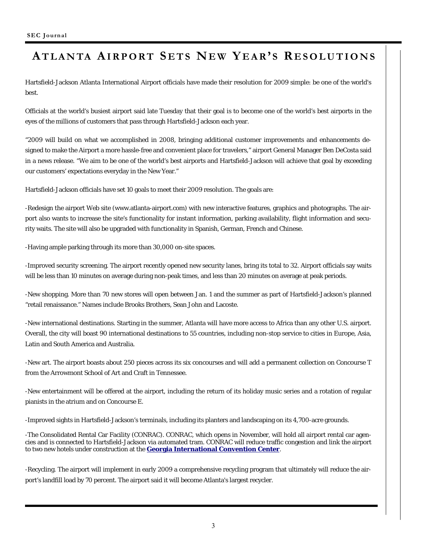### **ATLANTA AIRPORT S ETS NE W Y EAR' S R ESOLUTIONS**

Hartsfield-Jackson Atlanta International Airport officials have made their resolution for 2009 simple: be one of the world's best.

Officials at the world's busiest airport said late Tuesday that their goal is to become one of the world's best airports in the eyes of the millions of customers that pass through Hartsfield-Jackson each year.

"2009 will build on what we accomplished in 2008, bringing additional customer improvements and enhancements designed to make the Airport a more hassle-free and convenient place for travelers," airport General Manager Ben DeCosta said in a news release. "We aim to be one of the world's best airports and Hartsfield-Jackson will achieve that goal by exceeding our customers' expectations everyday in the New Year."

Hartsfield-Jackson officials have set 10 goals to meet their 2009 resolution. The goals are:

-Redesign the airport Web site (www.atlanta-airport.com) with new interactive features, graphics and photographs. The airport also wants to increase the site's functionality for instant information, parking availability, flight information and security waits. The site will also be upgraded with functionality in Spanish, German, French and Chinese.

-Having ample parking through its more than 30,000 on-site spaces.

-Improved security screening. The airport recently opened new security lanes, bring its total to 32. Airport officials say waits will be less than 10 minutes on average during non-peak times, and less than 20 minutes on average at peak periods.

-New shopping. More than 70 new stores will open between Jan. 1 and the summer as part of Hartsfield-Jackson's planned "retail renaissance." Names include Brooks Brothers, Sean John and Lacoste.

-New international destinations. Starting in the summer, Atlanta will have more access to Africa than any other U.S. airport. Overall, the city will boast 90 international destinations to 55 countries, including non-stop service to cities in Europe, Asia, Latin and South America and Australia.

-New art. The airport boasts about 250 pieces across its six concourses and will add a permanent collection on Concourse T from the Arrowmont School of Art and Craft in Tennessee.

-New entertainment will be offered at the airport, including the return of its holiday music series and a rotation of regular pianists in the atrium and on Concourse E.

-Improved sights in Hartsfield-Jackson's terminals, including its planters and landscaping on its 4,700-acre grounds.

-The Consolidated Rental Car Facility (CONRAC). CONRAC, which opens in November, will hold all airport rental car agencies and is connected to Hartsfield-Jackson via automated tram. CONRAC will reduce traffic congestion and link the airport to two new hotels under construction at the **Georgia International Convention Center**.

-Recycling. The airport will implement in early 2009 a comprehensive recycling program that ultimately will reduce the airport's landfill load by 70 percent. The airport said it will become Atlanta's largest recycler.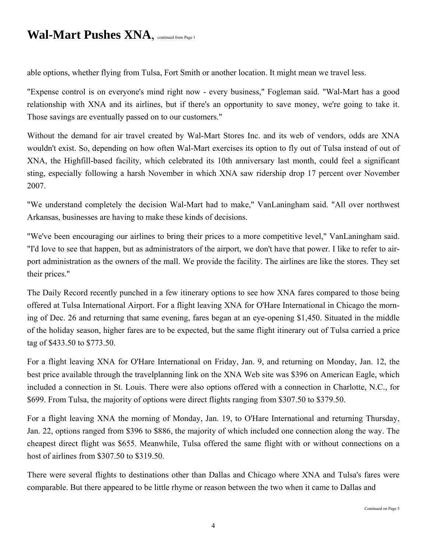### **Wal-Mart Pushes XNA**, continued from Page 1

able options, whether flying from Tulsa, Fort Smith or another location. It might mean we travel less.

"Expense control is on everyone's mind right now - every business," Fogleman said. "Wal-Mart has a good relationship with XNA and its airlines, but if there's an opportunity to save money, we're going to take it. Those savings are eventually passed on to our customers."

Without the demand for air travel created by Wal-Mart Stores Inc. and its web of vendors, odds are XNA wouldn't exist. So, depending on how often Wal-Mart exercises its option to fly out of Tulsa instead of out of XNA, the Highfill-based facility, which celebrated its 10th anniversary last month, could feel a significant sting, especially following a harsh November in which XNA saw ridership drop 17 percent over November 2007.

"We understand completely the decision Wal-Mart had to make," VanLaningham said. "All over northwest Arkansas, businesses are having to make these kinds of decisions.

"We've been encouraging our airlines to bring their prices to a more competitive level," VanLaningham said. "I'd love to see that happen, but as administrators of the airport, we don't have that power. I like to refer to airport administration as the owners of the mall. We provide the facility. The airlines are like the stores. They set their prices."

The Daily Record recently punched in a few itinerary options to see how XNA fares compared to those being offered at Tulsa International Airport. For a flight leaving XNA for O'Hare International in Chicago the morning of Dec. 26 and returning that same evening, fares began at an eye-opening \$1,450. Situated in the middle of the holiday season, higher fares are to be expected, but the same flight itinerary out of Tulsa carried a price tag of \$433.50 to \$773.50.

For a flight leaving XNA for O'Hare International on Friday, Jan. 9, and returning on Monday, Jan. 12, the best price available through the travelplanning link on the XNA Web site was \$396 on American Eagle, which included a connection in St. Louis. There were also options offered with a connection in Charlotte, N.C., for \$699. From Tulsa, the majority of options were direct flights ranging from \$307.50 to \$379.50.

For a flight leaving XNA the morning of Monday, Jan. 19, to O'Hare International and returning Thursday, Jan. 22, options ranged from \$396 to \$886, the majority of which included one connection along the way. The cheapest direct flight was \$655. Meanwhile, Tulsa offered the same flight with or without connections on a host of airlines from \$307.50 to \$319.50.

There were several flights to destinations other than Dallas and Chicago where XNA and Tulsa's fares were comparable. But there appeared to be little rhyme or reason between the two when it came to Dallas and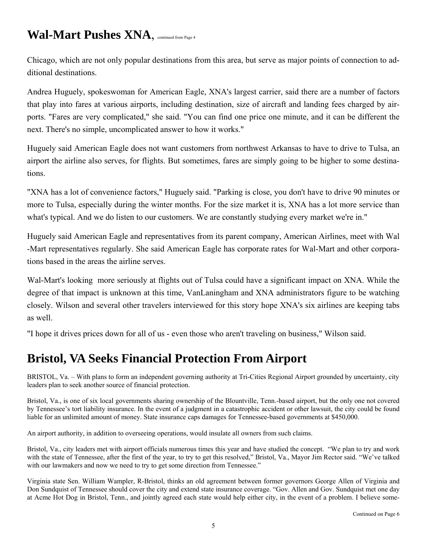# Wal-Mart Pushes XNA, continued from Page 4

Chicago, which are not only popular destinations from this area, but serve as major points of connection to additional destinations.

Andrea Huguely, spokeswoman for American Eagle, XNA's largest carrier, said there are a number of factors that play into fares at various airports, including destination, size of aircraft and landing fees charged by airports. "Fares are very complicated," she said. "You can find one price one minute, and it can be different the next. There's no simple, uncomplicated answer to how it works."

Huguely said American Eagle does not want customers from northwest Arkansas to have to drive to Tulsa, an airport the airline also serves, for flights. But sometimes, fares are simply going to be higher to some destinations.

"XNA has a lot of convenience factors," Huguely said. "Parking is close, you don't have to drive 90 minutes or more to Tulsa, especially during the winter months. For the size market it is, XNA has a lot more service than what's typical. And we do listen to our customers. We are constantly studying every market we're in."

Huguely said American Eagle and representatives from its parent company, American Airlines, meet with Wal -Mart representatives regularly. She said American Eagle has corporate rates for Wal-Mart and other corporations based in the areas the airline serves.

Wal-Mart's looking more seriously at flights out of Tulsa could have a significant impact on XNA. While the degree of that impact is unknown at this time, VanLaningham and XNA administrators figure to be watching closely. Wilson and several other travelers interviewed for this story hope XNA's six airlines are keeping tabs as well.

"I hope it drives prices down for all of us - even those who aren't traveling on business," Wilson said.

### **Bristol, VA Seeks Financial Protection From Airport**

BRISTOL, Va. – With plans to form an independent governing authority at Tri-Cities Regional Airport grounded by uncertainty, city leaders plan to seek another source of financial protection.

Bristol, Va., is one of six local governments sharing ownership of the Blountville, Tenn.-based airport, but the only one not covered by Tennessee's tort liability insurance. In the event of a judgment in a catastrophic accident or other lawsuit, the city could be found liable for an unlimited amount of money. State insurance caps damages for Tennessee-based governments at \$450,000.

An airport authority, in addition to overseeing operations, would insulate all owners from such claims.

Bristol, Va., city leaders met with airport officials numerous times this year and have studied the concept. "We plan to try and work with the state of Tennessee, after the first of the year, to try to get this resolved," Bristol, Va., Mayor Jim Rector said. "We've talked with our lawmakers and now we need to try to get some direction from Tennessee."

Virginia state Sen. William Wampler, R-Bristol, thinks an old agreement between former governors George Allen of Virginia and Don Sundquist of Tennessee should cover the city and extend state insurance coverage. "Gov. Allen and Gov. Sundquist met one day at Acme Hot Dog in Bristol, Tenn., and jointly agreed each state would help either city, in the event of a problem. I believe some-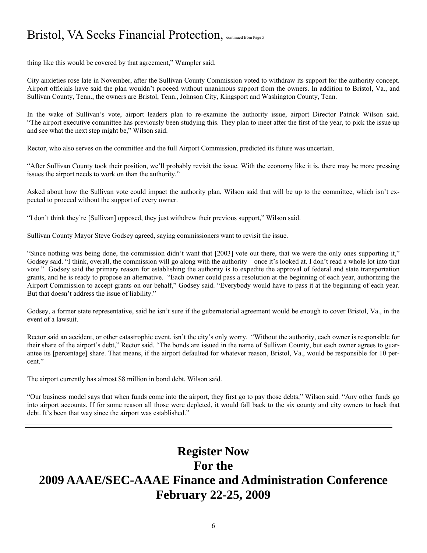## Bristol, VA Seeks Financial Protection, continued from Page 5

thing like this would be covered by that agreement," Wampler said.

City anxieties rose late in November, after the Sullivan County Commission voted to withdraw its support for the authority concept. Airport officials have said the plan wouldn't proceed without unanimous support from the owners. In addition to Bristol, Va., and Sullivan County, Tenn., the owners are Bristol, Tenn., Johnson City, Kingsport and Washington County, Tenn.

In the wake of Sullivan's vote, airport leaders plan to re-examine the authority issue, airport Director Patrick Wilson said. "The airport executive committee has previously been studying this. They plan to meet after the first of the year, to pick the issue up and see what the next step might be," Wilson said.

Rector, who also serves on the committee and the full Airport Commission, predicted its future was uncertain.

"After Sullivan County took their position, we'll probably revisit the issue. With the economy like it is, there may be more pressing issues the airport needs to work on than the authority."

Asked about how the Sullivan vote could impact the authority plan, Wilson said that will be up to the committee, which isn't expected to proceed without the support of every owner.

"I don't think they're [Sullivan] opposed, they just withdrew their previous support," Wilson said.

Sullivan County Mayor Steve Godsey agreed, saying commissioners want to revisit the issue.

"Since nothing was being done, the commission didn't want that [2003] vote out there, that we were the only ones supporting it," Godsey said. "I think, overall, the commission will go along with the authority – once it's looked at. I don't read a whole lot into that vote." Godsey said the primary reason for establishing the authority is to expedite the approval of federal and state transportation grants, and he is ready to propose an alternative. "Each owner could pass a resolution at the beginning of each year, authorizing the Airport Commission to accept grants on our behalf," Godsey said. "Everybody would have to pass it at the beginning of each year. But that doesn't address the issue of liability."

Godsey, a former state representative, said he isn't sure if the gubernatorial agreement would be enough to cover Bristol, Va., in the event of a lawsuit.

Rector said an accident, or other catastrophic event, isn't the city's only worry. "Without the authority, each owner is responsible for their share of the airport's debt," Rector said. "The bonds are issued in the name of Sullivan County, but each owner agrees to guarantee its [percentage] share. That means, if the airport defaulted for whatever reason, Bristol, Va., would be responsible for 10 percent."

The airport currently has almost \$8 million in bond debt, Wilson said.

"Our business model says that when funds come into the airport, they first go to pay those debts," Wilson said. "Any other funds go into airport accounts. If for some reason all those were depleted, it would fall back to the six county and city owners to back that debt. It's been that way since the airport was established."

### **Register Now For the 2009 AAAE/SEC-AAAE Finance and Administration Conference February 22-25, 2009**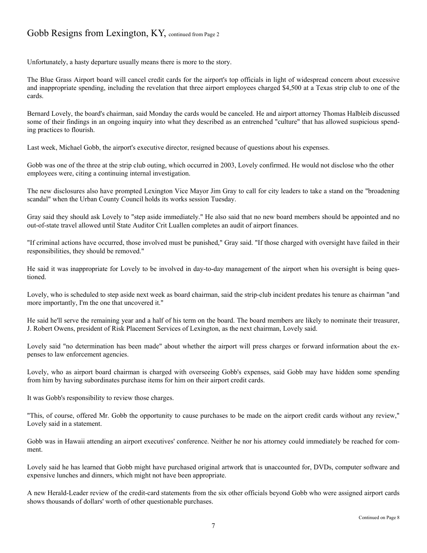#### Gobb Resigns from Lexington, KY, continued from Page 2

Unfortunately, a hasty departure usually means there is more to the story.

The Blue Grass Airport board will cancel credit cards for the airport's top officials in light of widespread concern about excessive and inappropriate spending, including the revelation that three airport employees charged \$4,500 at a Texas strip club to one of the cards.

Bernard Lovely, the board's chairman, said Monday the cards would be canceled. He and airport attorney Thomas Halbleib discussed some of their findings in an ongoing inquiry into what they described as an entrenched "culture" that has allowed suspicious spending practices to flourish.

Last week, Michael Gobb, the airport's executive director, resigned because of questions about his expenses.

Gobb was one of the three at the strip club outing, which occurred in 2003, Lovely confirmed. He would not disclose who the other employees were, citing a continuing internal investigation.

The new disclosures also have prompted Lexington Vice Mayor Jim Gray to call for city leaders to take a stand on the "broadening scandal" when the Urban County Council holds its works session Tuesday.

Gray said they should ask Lovely to "step aside immediately." He also said that no new board members should be appointed and no out-of-state travel allowed until State Auditor Crit Luallen completes an audit of airport finances.

"If criminal actions have occurred, those involved must be punished," Gray said. "If those charged with oversight have failed in their responsibilities, they should be removed."

He said it was inappropriate for Lovely to be involved in day-to-day management of the airport when his oversight is being questioned.

Lovely, who is scheduled to step aside next week as board chairman, said the strip-club incident predates his tenure as chairman "and more importantly, I'm the one that uncovered it."

He said he'll serve the remaining year and a half of his term on the board. The board members are likely to nominate their treasurer, J. Robert Owens, president of Risk Placement Services of Lexington, as the next chairman, Lovely said.

Lovely said "no determination has been made" about whether the airport will press charges or forward information about the expenses to law enforcement agencies.

Lovely, who as airport board chairman is charged with overseeing Gobb's expenses, said Gobb may have hidden some spending from him by having subordinates purchase items for him on their airport credit cards.

It was Gobb's responsibility to review those charges.

"This, of course, offered Mr. Gobb the opportunity to cause purchases to be made on the airport credit cards without any review," Lovely said in a statement.

Gobb was in Hawaii attending an airport executives' conference. Neither he nor his attorney could immediately be reached for comment.

Lovely said he has learned that Gobb might have purchased original artwork that is unaccounted for, DVDs, computer software and expensive lunches and dinners, which might not have been appropriate.

A new Herald-Leader review of the credit-card statements from the six other officials beyond Gobb who were assigned airport cards shows thousands of dollars' worth of other questionable purchases.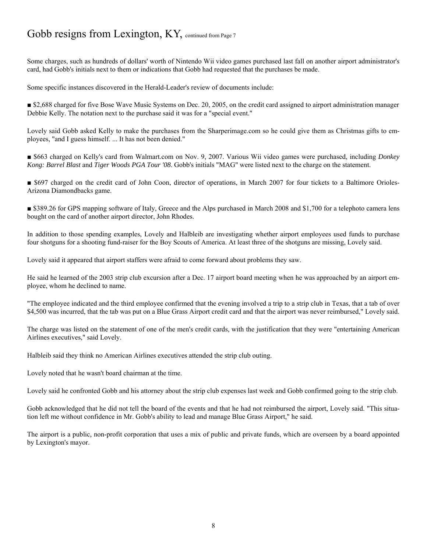#### Gobb resigns from Lexington, KY, continued from Page 7

Some charges, such as hundreds of dollars' worth of Nintendo Wii video games purchased last fall on another airport administrator's card, had Gobb's initials next to them or indications that Gobb had requested that the purchases be made.

Some specific instances discovered in the Herald-Leader's review of documents include:

■ \$2,688 charged for five Bose Wave Music Systems on Dec. 20, 2005, on the credit card assigned to airport administration manager Debbie Kelly. The notation next to the purchase said it was for a "special event."

Lovely said Gobb asked Kelly to make the purchases from the Sharperimage.com so he could give them as Christmas gifts to employees, "and I guess himself. ... It has not been denied."

■ \$663 charged on Kelly's card from Walmart.com on Nov. 9, 2007. Various Wii video games were purchased, including *Donkey Kong: Barrel Blast* and *Tiger Woods PGA Tour '08*. Gobb's initials "MAG" were listed next to the charge on the statement.

■ \$697 charged on the credit card of John Coon, director of operations, in March 2007 for four tickets to a Baltimore Orioles-Arizona Diamondbacks game.

■ \$389.26 for GPS mapping software of Italy, Greece and the Alps purchased in March 2008 and \$1,700 for a telephoto camera lens bought on the card of another airport director, John Rhodes.

In addition to those spending examples, Lovely and Halbleib are investigating whether airport employees used funds to purchase four shotguns for a shooting fund-raiser for the Boy Scouts of America. At least three of the shotguns are missing, Lovely said.

Lovely said it appeared that airport staffers were afraid to come forward about problems they saw.

He said he learned of the 2003 strip club excursion after a Dec. 17 airport board meeting when he was approached by an airport employee, whom he declined to name.

"The employee indicated and the third employee confirmed that the evening involved a trip to a strip club in Texas, that a tab of over \$4,500 was incurred, that the tab was put on a Blue Grass Airport credit card and that the airport was never reimbursed," Lovely said.

The charge was listed on the statement of one of the men's credit cards, with the justification that they were "entertaining American Airlines executives," said Lovely.

Halbleib said they think no American Airlines executives attended the strip club outing.

Lovely noted that he wasn't board chairman at the time.

Lovely said he confronted Gobb and his attorney about the strip club expenses last week and Gobb confirmed going to the strip club.

Gobb acknowledged that he did not tell the board of the events and that he had not reimbursed the airport, Lovely said. "This situation left me without confidence in Mr. Gobb's ability to lead and manage Blue Grass Airport," he said.

The airport is a public, non-profit corporation that uses a mix of public and private funds, which are overseen by a board appointed by Lexington's mayor.